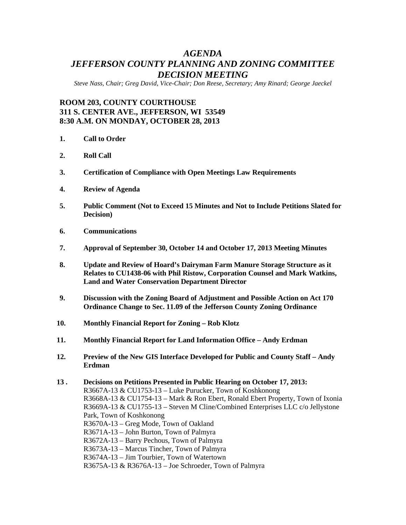# *AGENDA JEFFERSON COUNTY PLANNING AND ZONING COMMITTEE DECISION MEETING*

*Steve Nass, Chair; Greg David, Vice-Chair; Don Reese, Secretary; Amy Rinard; George Jaeckel*

# **ROOM 203, COUNTY COURTHOUSE 311 S. CENTER AVE., JEFFERSON, WI 53549 8:30 A.M. ON MONDAY, OCTOBER 28, 2013**

- **1. Call to Order**
- **2. Roll Call**
- **3. Certification of Compliance with Open Meetings Law Requirements**
- **4. Review of Agenda**
- **5. Public Comment (Not to Exceed 15 Minutes and Not to Include Petitions Slated for Decision)**
- **6. Communications**
- **7. Approval of September 30, October 14 and October 17, 2013 Meeting Minutes**
- **8. Update and Review of Hoard's Dairyman Farm Manure Storage Structure as it Relates to CU1438-06 with Phil Ristow, Corporation Counsel and Mark Watkins, Land and Water Conservation Department Director**
- **9. Discussion with the Zoning Board of Adjustment and Possible Action on Act 170 Ordinance Change to Sec. 11.09 of the Jefferson County Zoning Ordinance**
- **10. Monthly Financial Report for Zoning – Rob Klotz**
- **11. Monthly Financial Report for Land Information Office – Andy Erdman**
- **12. Preview of the New GIS Interface Developed for Public and County Staff – Andy Erdman**

**<sup>13 .</sup> Decisions on Petitions Presented in Public Hearing on October 17, 2013:** R3667A-13 & CU1753-13 – Luke Purucker, Town of Koshkonong R3668A-13 & CU1754-13 – Mark & Ron Ebert, Ronald Ebert Property, Town of Ixonia R3669A-13 & CU1755-13 – Steven M Cline/Combined Enterprises LLC c/o Jellystone Park, Town of Koshkonong R3670A-13 – Greg Mode, Town of Oakland R3671A-13 – John Burton, Town of Palmyra R3672A-13 – Barry Pechous, Town of Palmyra R3673A-13 – Marcus Tincher, Town of Palmyra R3674A-13 – Jim Tourbier, Town of Watertown R3675A-13 & R3676A-13 – Joe Schroeder, Town of Palmyra